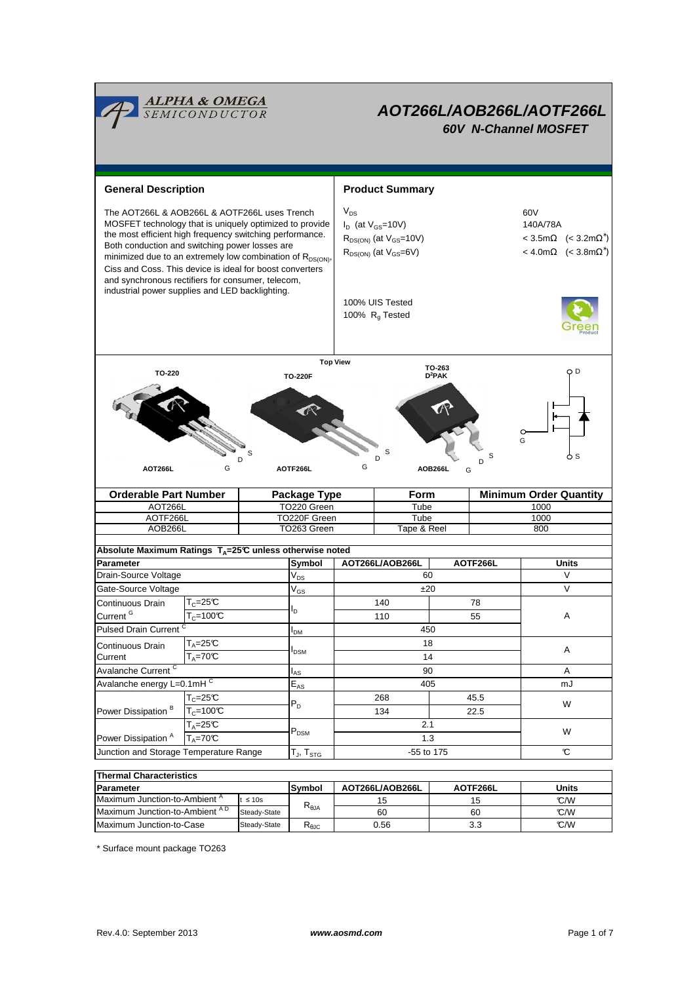

# **AOT266L/AOB266L/AOTF266L 60V N-Channel MOSFET**

**General Description**  Product Summary  $V_{DS}$  $I_D$  (at  $V_{GS}$ =10V) 140A/78A  $R_{DS(ON)}$  (at  $V_{GS}=10V$ ) ∗ )  $R_{DS(ON)}$  (at  $V_{GS}=6V$ )  $\leq 4.0 \text{ m}\Omega$   $\leq 3.8 \text{ m}\Omega^*$ ) 100% UIS Tested 100%  $R<sub>g</sub>$  Tested AOB266L TO263 Green Tape & Reel 800 TO220 Green Tube 1000<br>TO220F Green Tube 1000 AOTF266L TO220F Green The AOT266L & AOB266L & AOTF266L uses Trench  $\sqrt{v_{DS}}$  60V MOSFET technology that is uniquely optimized to provide the most efficient high frequency switching performance. Both conduction and switching power losses are minimized due to an extremely low combination of  $R_{DS(ON)}$ , Ciss and Coss. This device is ideal for boost converters and synchronous rectifiers for consumer, telecom, industrial power supplies and LED backlighting. **Orderable Part Number | Package Type | Form | Minimum Order Quantity** AOT266L G D S **TO-263 D<sup>2</sup>PAK Top View TO-220F TO-220 AOT266L AOTF266L AOB266L** G D S G D S G D S **Symbol**  $V_{DS}$  $V_{GS}$ IDM IAS  $E_{AS}$ T $_{\mathsf{J}},$  T $_{\mathsf{STG}}$ Gate-Source Voltage  $V_{GS}$   $\qquad \qquad$   $\pm 20$   $\qquad \qquad$  V  $T_c=25C$  $T_c = 100^{\circ}C$ mJ Avalanche Current <sup>C</sup> 14 A Junction and Storage Temperature Range  $[T_{J}$ ,  $T_{STG}$  55 to 175 **AOT266L/AOB266L AOTF266L Parameter Units** Drain-Source Voltage **60** V<sub>DS</sub> N W<sub>DS</sub> 60 60 V **Absolute Maximum Ratings TA=25°C unless otherwise noted** A  $T_A=25C$ IDSM 268 45.5 18 140 90 Avalanche energy L=0.1mHC A  $\overline{T_A=70}$ <sup>C</sup> Continuous Drain **Current** 405  $I_{\mathsf{D}}$ W  $T_c = 25C$ W  $T_A = 70^\circ C$   $P_{DSM}$   $P_{DSM}$  1.3  $T_A=25^\circ C$  2.1 P<sub>DSM</sub> P<sub>DSM</sub> 2.1 2.1 2.2 P<sub>DSM</sub> 78 110 | 55 450 **Pulsed Drain Current** Continuous Drain Current<sup>G</sup> Power Dissipation<sup>A</sup> Power Dissipation  $\overline{B}$   $\overline{T_c=100^{\circ}C}$  $P_D$ 134 22.5 -55 to 175

| <b>Thermal Characteristics</b>            |              |                                  |                 |          |       |  |  |  |  |
|-------------------------------------------|--------------|----------------------------------|-----------------|----------|-------|--|--|--|--|
| <b>Parameter</b>                          |              | <b>Symbol</b>                    | AOT266L/AOB266L | AOTF266L | Units |  |  |  |  |
| Maximum Junction-to-Ambient <sup>"</sup>  | $\leq 10$ s  | $\mathsf{R}_{\theta\mathsf{JA}}$ | 15              | 15       | °C/W  |  |  |  |  |
| Maximum Junction-to-Ambient <sup>AD</sup> | Steady-State |                                  | 60              | 60       | °C/W  |  |  |  |  |
| Maximum Junction-to-Case                  | Steady-State | ι≺θJC                            | 0.56            | 3.3      | C/W   |  |  |  |  |

\* Surface mount package TO263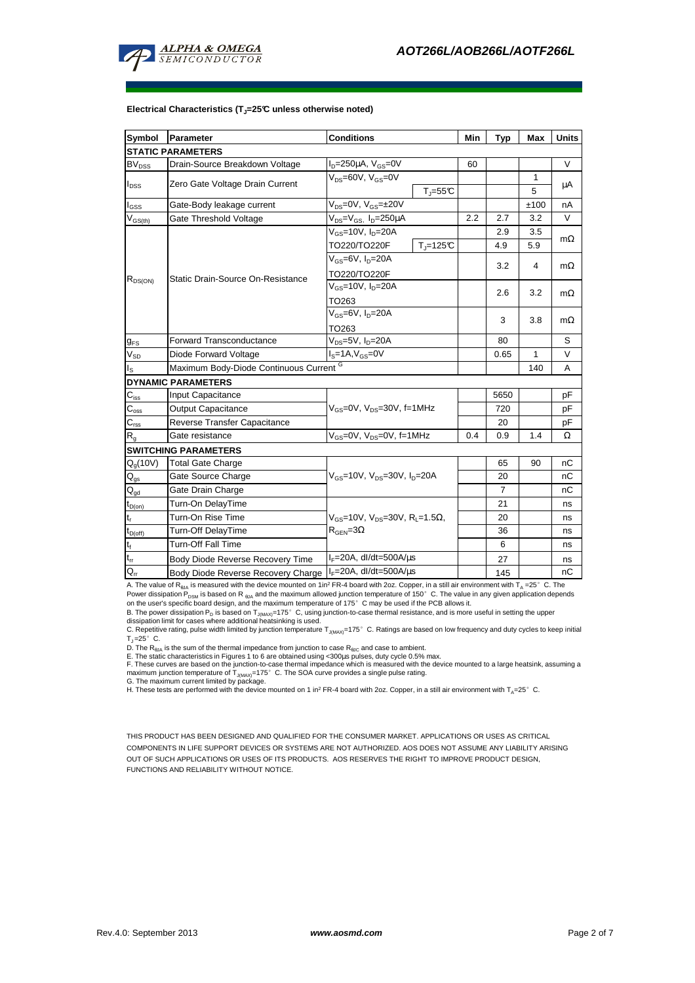

| Symbol                                         | Parameter                                                         | <b>Conditions</b>                                                                          |              | Min | Typ            | Max  | <b>Units</b> |
|------------------------------------------------|-------------------------------------------------------------------|--------------------------------------------------------------------------------------------|--------------|-----|----------------|------|--------------|
|                                                | <b>STATIC PARAMETERS</b>                                          |                                                                                            |              |     |                |      |              |
| <b>BV<sub>DSS</sub></b>                        | Drain-Source Breakdown Voltage                                    | $I_D = 250 \mu A$ , $V_{GS} = 0V$                                                          |              | 60  |                |      | V            |
| $I_{DSS}$                                      | Zero Gate Voltage Drain Current                                   | $V_{DS} = 60V$ , $V_{GS} = 0V$<br>$T_i = 55^{\circ}C$                                      |              |     |                | 1    | μA           |
|                                                |                                                                   |                                                                                            |              |     |                | 5    |              |
| l <sub>GSS</sub>                               | Gate-Body leakage current                                         | $V_{DS} = 0V$ , $V_{GS} = \pm 20V$                                                         |              |     |                | ±100 | nA           |
| $\mathsf{V}_{\mathsf{GS(th)}}$                 | Gate Threshold Voltage                                            | $V_{DS} = V_{GS}$ , $I_D = 250 \mu A$                                                      |              | 2.2 | 2.7            | 3.2  | $\vee$       |
| $R_{DS(ON)}$                                   | Static Drain-Source On-Resistance                                 | $V_{GS}$ =10V, $I_D$ =20A                                                                  |              |     | 2.9            | 3.5  |              |
|                                                |                                                                   | TO220/TO220F                                                                               | $T_i = 125C$ |     | 4.9            | 5.9  | $m\Omega$    |
|                                                |                                                                   | $V_{GS}$ =6V, $I_D$ =20A<br>TO220/TO220F                                                   |              |     |                | 4    | $m\Omega$    |
|                                                |                                                                   |                                                                                            |              |     | 3.2            |      |              |
|                                                |                                                                   | $V_{GS}$ =10V, $I_D$ =20A<br>TO263                                                         |              |     | 2.6            | 3.2  | $m\Omega$    |
|                                                |                                                                   |                                                                                            |              |     |                |      |              |
|                                                |                                                                   | $V_{GS}$ =6V, $I_D$ =20A<br>TO <sub>263</sub>                                              |              |     |                | 3.8  | $m\Omega$    |
|                                                |                                                                   |                                                                                            |              |     | 3              |      |              |
| $g_{FS}$                                       | <b>Forward Transconductance</b>                                   | $V_{DS} = 5V$ , $I_D = 20A$                                                                |              |     | 80             |      | S            |
| $V_{SD}$                                       | Diode Forward Voltage                                             | $IS=1A, VGS=0V$                                                                            |              |     | 0.65           | 1    | $\vee$       |
| اڃ                                             | Maximum Body-Diode Continuous Current G                           |                                                                                            |              |     |                | 140  | Α            |
|                                                | <b>DYNAMIC PARAMETERS</b>                                         |                                                                                            |              |     |                |      |              |
| $\mathbf{C}_{\text{iss}}$                      | Input Capacitance                                                 | $V_{gs} = 0V$ , $V_{ps} = 30V$ , f=1MHz                                                    |              |     | 5650           |      | pF           |
| $\mathsf{C}_{\text{oss}}$                      | <b>Output Capacitance</b>                                         |                                                                                            |              |     | 720            |      | рF           |
| $\mathsf{C}_{\mathsf{rss}}$                    | Reverse Transfer Capacitance                                      |                                                                                            |              |     | 20             |      | pF           |
| $R_{\alpha}$                                   | Gate resistance                                                   | $V_{GS}$ =0V, $V_{DS}$ =0V, f=1MHz                                                         |              | 0.4 | 0.9            | 1.4  | Ω            |
|                                                | <b>SWITCHING PARAMETERS</b>                                       |                                                                                            |              |     |                |      |              |
| $Q_q(10V)$                                     | <b>Total Gate Charge</b>                                          | $V_{\text{GS}} = 10V$ , $V_{\text{DS}} = 30V$ , $I_{\text{D}} = 20A$                       |              |     | 65             | 90   | nС           |
| $\mathsf{Q}_{\mathsf{qs}}$                     | Gate Source Charge                                                |                                                                                            |              |     | 20             |      | nС           |
| $Q_{gd}$                                       | Gate Drain Charge                                                 |                                                                                            |              |     | $\overline{7}$ |      | nС           |
| $\textnormal{t}_{\mathsf{D}(\textnormal{on})}$ | Turn-On DelayTime                                                 | $V_{GS}$ =10V, $V_{DS}$ =30V, R <sub>L</sub> =1.5 $\Omega$ ,<br>$R_{\text{GEN}} = 3\Omega$ |              |     | 21             |      | ns           |
| t,                                             | Turn-On Rise Time                                                 |                                                                                            |              |     | 20             |      | ns           |
| $\rm{t}_{D(off)}$                              | Turn-Off DelayTime                                                |                                                                                            |              |     | 36             |      | ns           |
| t,                                             | Turn-Off Fall Time                                                |                                                                                            |              |     | 6              |      | ns           |
| $t_{rr}$                                       | Body Diode Reverse Recovery Time                                  | $I_F = 20A$ , dl/dt=500A/us                                                                |              |     | 27             |      | ns           |
| $\mathsf{Q}_{\mathsf{r}\mathsf{r}}$            | $I_F = 20A$ , dl/dt=500A/us<br>Body Diode Reverse Recovery Charge |                                                                                            |              |     | 145            |      | nC           |

## **Electrical Characteristics (TJ=25°C unless otherwise noted)**

A. The value of R<sub>θJA</sub> is measured with the device mounted on 1in<sup>2</sup> FR-4 board with 2oz. Copper, in a still air environment with T<sub>A</sub> =25°C. The Power dissipation P<sub>DSM</sub> is based on R <sub>sJA</sub> and the maximum allowed junction temperature of 150°C. The value in any given application depends<br>on the user's specific board design, and the maximum temperature of 175°C may b

B. The power dissipation P<sub>D</sub> is based on T<sub>J(MAX)</sub>=175°C, using junction-to-case thermal resistance, and is more useful in setting the upper<br>dissipation limit for cases where additional heatsinking is used.

C. Repetitive rating, pulse width limited by junction temperature TJ(MAX)=175°C. Ratings are based on low frequency and duty cycles to keep initial  $T<sub>J</sub>=25^\circ$  C.

D. The R<sub>eJA</sub> is the sum of the thermal impedance from junction to case R<sub>eJC</sub> and case to ambient.<br>E. The static characteristics in Figures 1 to 6 are obtained using <300µs pulses, duty cycle 0.5% max.<br>F. These curves ar

THIS PRODUCT HAS BEEN DESIGNED AND QUALIFIED FOR THE CONSUMER MARKET. APPLICATIONS OR USES AS CRITICAL COMPONENTS IN LIFE SUPPORT DEVICES OR SYSTEMS ARE NOT AUTHORIZED. AOS DOES NOT ASSUME ANY LIABILITY ARISING OUT OF SUCH APPLICATIONS OR USES OF ITS PRODUCTS. AOS RESERVES THE RIGHT TO IMPROVE PRODUCT DESIGN, FUNCTIONS AND RELIABILITY WITHOUT NOTICE.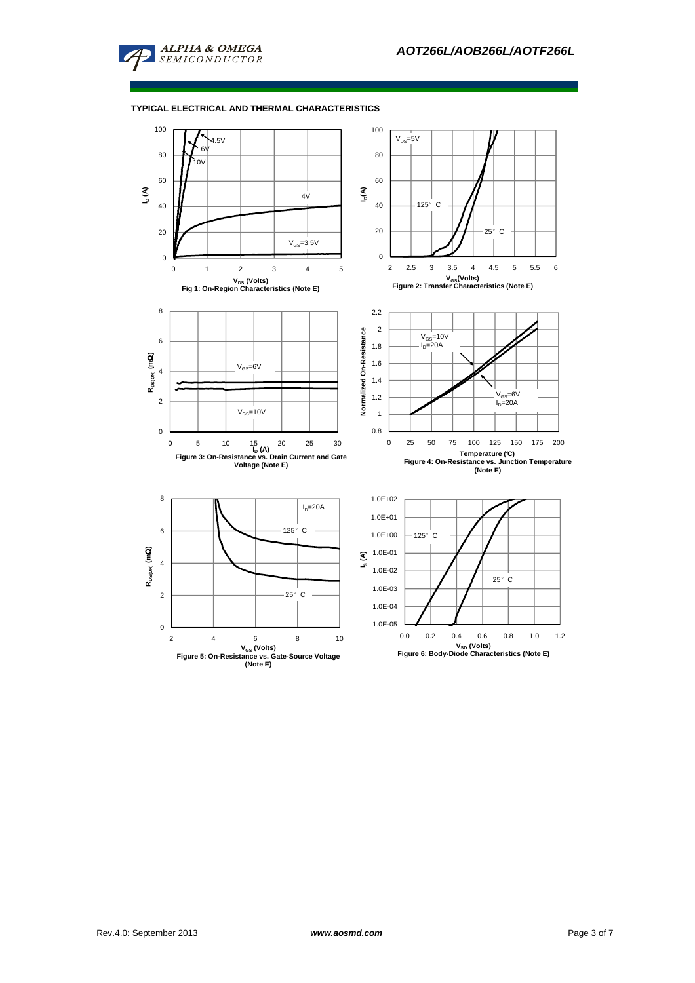

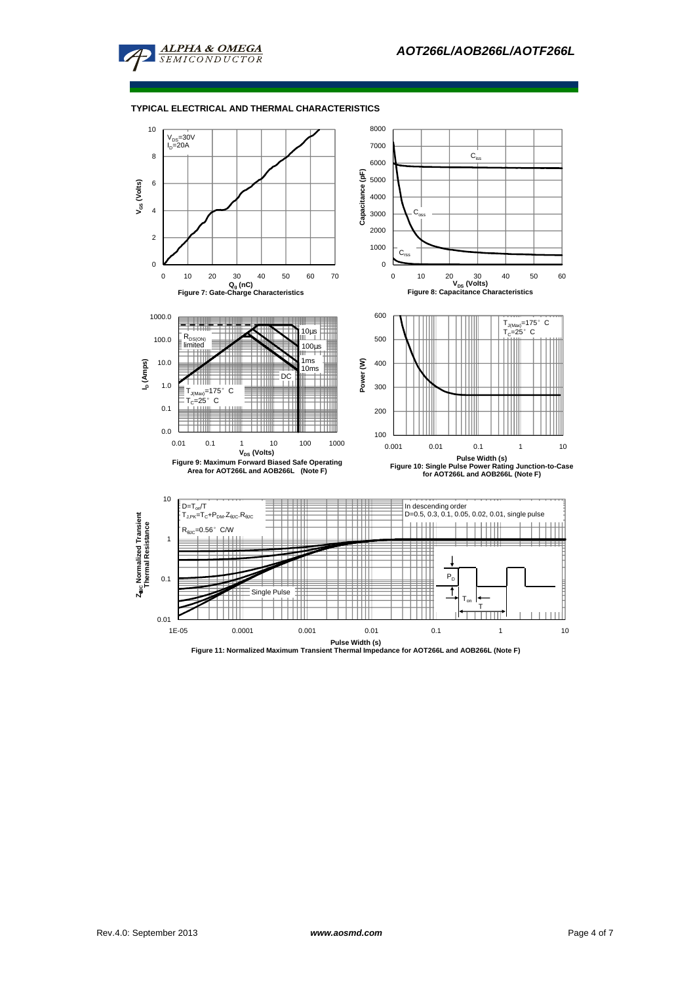

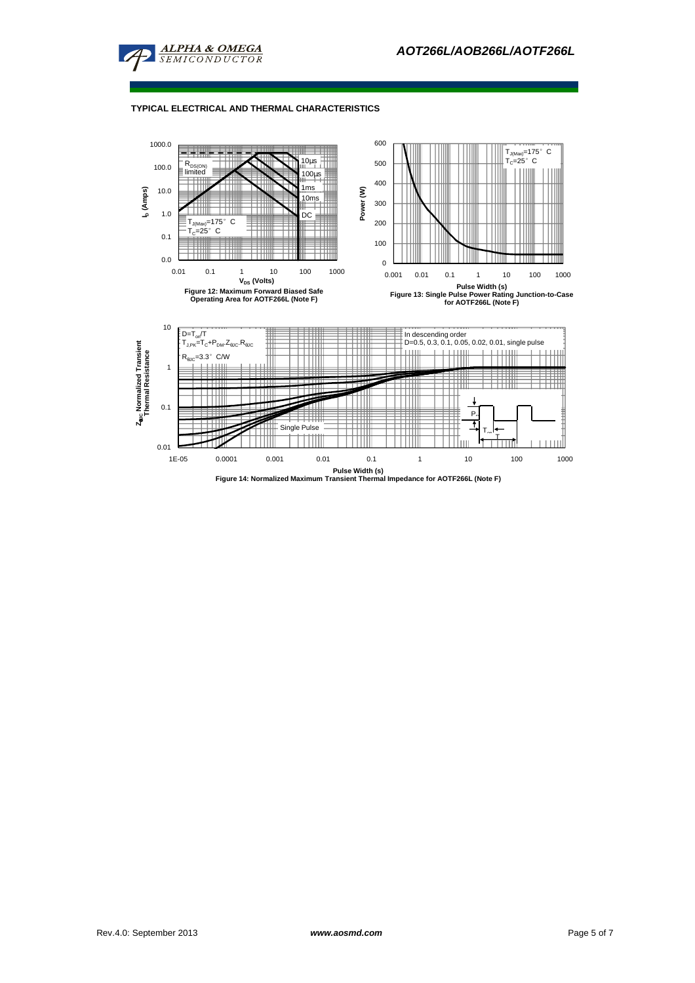

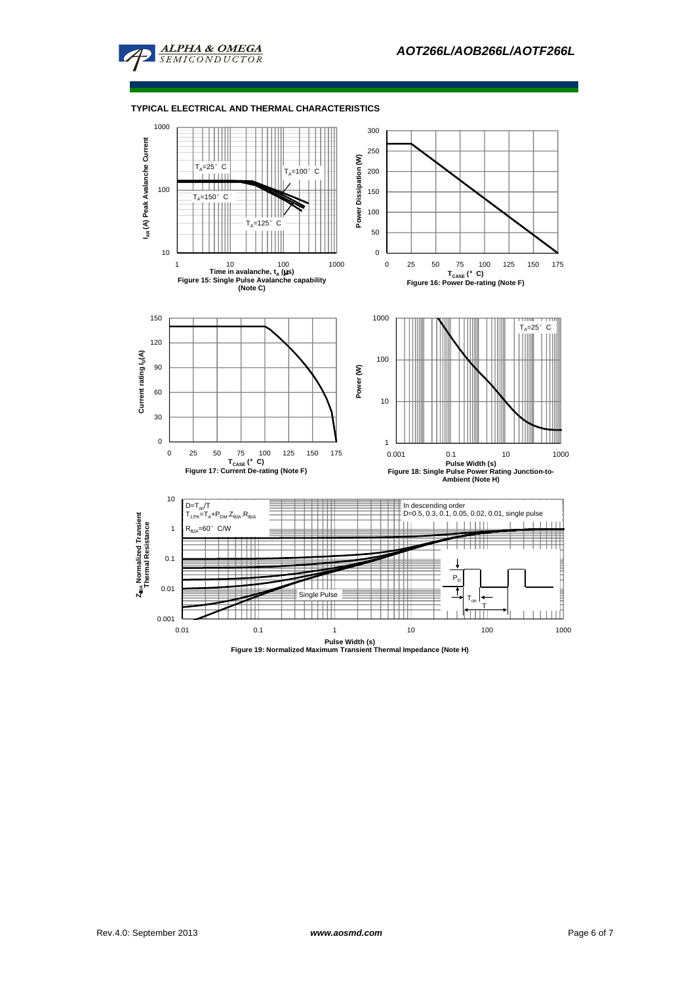